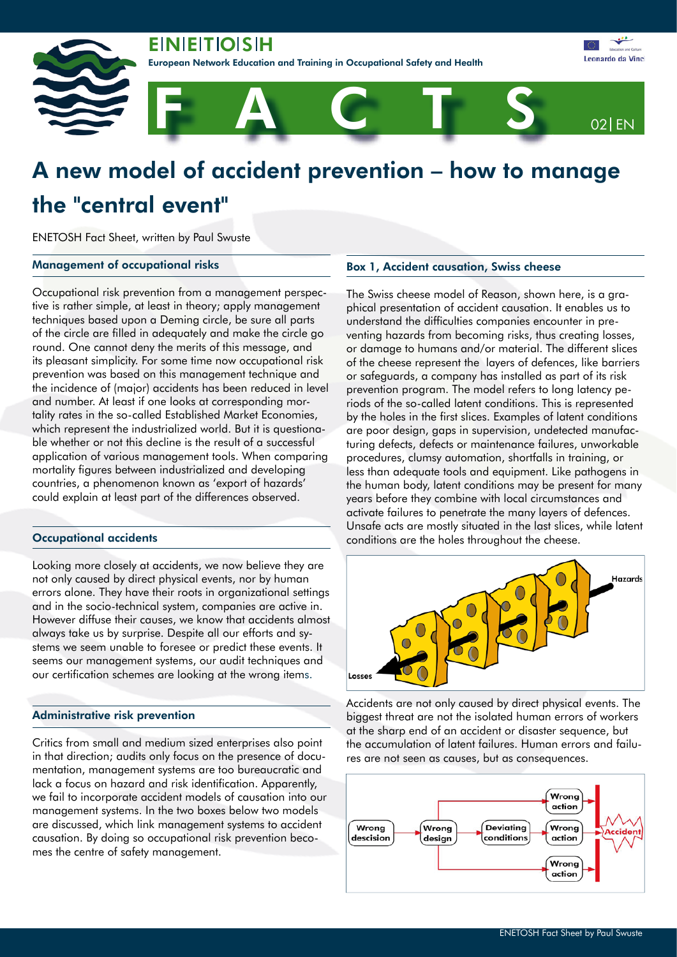**EINIEITIOISIH** 

an Network Education and Training in Occupational Safety and Health



# A new model of accident prevention – how to manage the "central event"

ENETOSH Fact Sheet, written by Paul Swuste

## Management of occupational risks

Occupational risk prevention from a management perspective is rather simple, at least in theory; apply management techniques based upon a Deming circle, be sure all parts of the circle are filled in adequately and make the circle go round. One cannot deny the merits of this message, and its pleasant simplicity. For some time now occupational risk prevention was based on this management technique and the incidence of (major) accidents has been reduced in level and number. At least if one looks at corresponding mortality rates in the so-called Established Market Economies, which represent the industrialized world. But it is questionable whether or not this decline is the result of a successful application of various management tools. When comparing mortality figures between industrialized and developing countries, a phenomenon known as 'export of hazards' could explain at least part of the differences observed.

# Occupational accidents

Looking more closely at accidents, we now believe they are not only caused by direct physical events, nor by human errors alone. They have their roots in organizational settings and in the socio-technical system, companies are active in. However diffuse their causes, we know that accidents almost always take us by surprise. Despite all our efforts and systems we seem unable to foresee or predict these events. It seems our management systems, our audit techniques and our certification schemes are looking at the wrong items.

### Administrative risk prevention

Critics from small and medium sized enterprises also point in that direction; audits only focus on the presence of documentation, management systems are too bureaucratic and lack a focus on hazard and risk identification. Apparently, we fail to incorporate accident models of causation into our management systems. In the two boxes below two models are discussed, which link management systems to accident causation. By doing so occupational risk prevention becomes the centre of safety management.

#### Box 1, Accident causation, Swiss cheese

The Swiss cheese model of Reason, shown here, is a graphical presentation of accident causation. It enables us to understand the difficulties companies encounter in preventing hazards from becoming risks, thus creating losses, or damage to humans and/or material. The different slices of the cheese represent the layers of defences, like barriers or safeguards, a company has installed as part of its risk prevention program. The model refers to long latency periods of the so-called latent conditions. This is represented by the holes in the first slices. Examples of latent conditions are poor design, gaps in supervision, undetected manufacturing defects, defects or maintenance failures, unworkable procedures, clumsy automation, shortfalls in training, or less than adequate tools and equipment. Like pathogens in the human body, latent conditions may be present for many years before they combine with local circumstances and activate failures to penetrate the many layers of defences. Unsafe acts are mostly situated in the last slices, while latent conditions are the holes throughout the cheese.



Accidents are not only caused by direct physical events. The biggest threat are not the isolated human errors of workers at the sharp end of an accident or disaster sequence, but the accumulation of latent failures. Human errors and failures are not seen as causes, but as consequences.